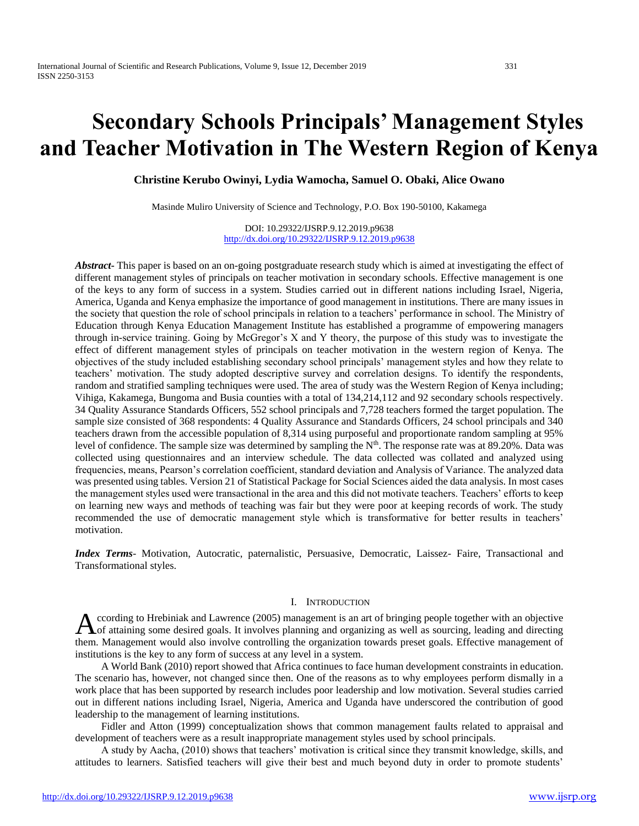# **Secondary Schools Principals' Management Styles and Teacher Motivation in The Western Region of Kenya**

**Christine Kerubo Owinyi, Lydia Wamocha, Samuel O. Obaki, Alice Owano**

Masinde Muliro University of Science and Technology, P.O. Box 190-50100, Kakamega

DOI: 10.29322/IJSRP.9.12.2019.p9638 <http://dx.doi.org/10.29322/IJSRP.9.12.2019.p9638>

*Abstract***-** This paper is based on an on-going postgraduate research study which is aimed at investigating the effect of different management styles of principals on teacher motivation in secondary schools. Effective management is one of the keys to any form of success in a system. Studies carried out in different nations including Israel, Nigeria, America, Uganda and Kenya emphasize the importance of good management in institutions. There are many issues in the society that question the role of school principals in relation to a teachers' performance in school. The Ministry of Education through Kenya Education Management Institute has established a programme of empowering managers through in-service training. Going by McGregor's X and Y theory, the purpose of this study was to investigate the effect of different management styles of principals on teacher motivation in the western region of Kenya. The objectives of the study included establishing secondary school principals' management styles and how they relate to teachers' motivation. The study adopted descriptive survey and correlation designs. To identify the respondents, random and stratified sampling techniques were used. The area of study was the Western Region of Kenya including; Vihiga, Kakamega, Bungoma and Busia counties with a total of 134,214,112 and 92 secondary schools respectively. 34 Quality Assurance Standards Officers, 552 school principals and 7,728 teachers formed the target population. The sample size consisted of 368 respondents: 4 Quality Assurance and Standards Officers, 24 school principals and 340 teachers drawn from the accessible population of 8,314 using purposeful and proportionate random sampling at 95% level of confidence. The sample size was determined by sampling the N<sup>th</sup>. The response rate was at 89.20%. Data was collected using questionnaires and an interview schedule. The data collected was collated and analyzed using frequencies, means, Pearson's correlation coefficient, standard deviation and Analysis of Variance. The analyzed data was presented using tables. Version 21 of Statistical Package for Social Sciences aided the data analysis. In most cases the management styles used were transactional in the area and this did not motivate teachers. Teachers' efforts to keep on learning new ways and methods of teaching was fair but they were poor at keeping records of work. The study recommended the use of democratic management style which is transformative for better results in teachers' motivation.

*Index Terms*- Motivation, Autocratic, paternalistic, Persuasive, Democratic, Laissez- Faire, Transactional and Transformational styles.

#### I. INTRODUCTION

ccording to Hrebiniak and Lawrence (2005) management is an art of bringing people together with an objective According to Hrebiniak and Lawrence (2005) management is an art of bringing people together with an objective<br>
A of attaining some desired goals. It involves planning and organizing as well as sourcing, leading and directi them. Management would also involve controlling the organization towards preset goals. Effective management of institutions is the key to any form of success at any level in a system.

 A World Bank (2010) report showed that Africa continues to face human development constraints in education. The scenario has, however, not changed since then. One of the reasons as to why employees perform dismally in a work place that has been supported by research includes poor leadership and low motivation. Several studies carried out in different nations including Israel, Nigeria, America and Uganda have underscored the contribution of good leadership to the management of learning institutions.

 Fidler and Atton (1999) conceptualization shows that common management faults related to appraisal and development of teachers were as a result inappropriate management styles used by school principals.

 A study by Aacha, (2010) shows that teachers' motivation is critical since they transmit knowledge, skills, and attitudes to learners. Satisfied teachers will give their best and much beyond duty in order to promote students'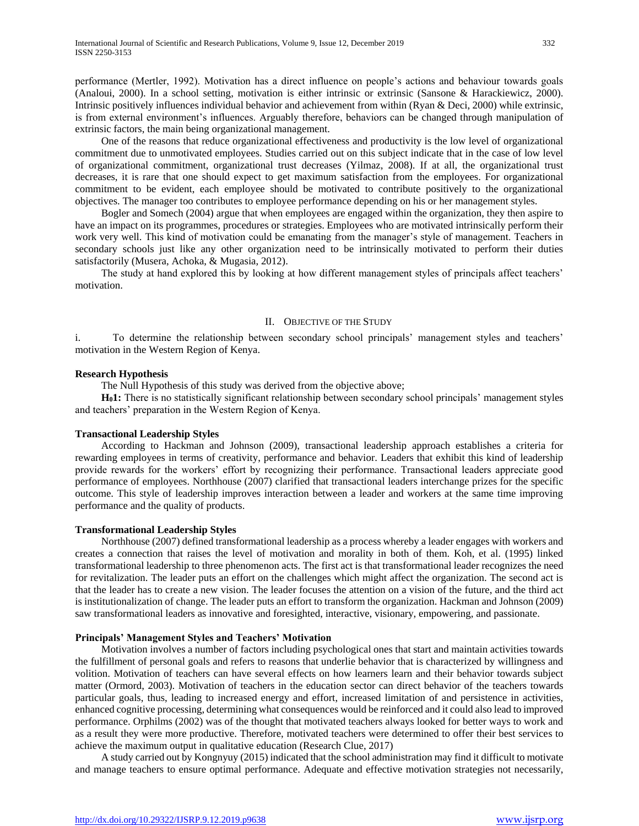performance (Mertler, 1992). Motivation has a direct influence on people's actions and behaviour towards goals (Analoui, 2000). In a school setting, motivation is either intrinsic or extrinsic (Sansone & Harackiewicz, 2000). Intrinsic positively influences individual behavior and achievement from within (Ryan & Deci, 2000) while extrinsic, is from external environment's influences. Arguably therefore, behaviors can be changed through manipulation of extrinsic factors, the main being organizational management.

 One of the reasons that reduce organizational effectiveness and productivity is the low level of organizational commitment due to unmotivated employees. Studies carried out on this subject indicate that in the case of low level of organizational commitment, organizational trust decreases (Yilmaz, 2008). If at all, the organizational trust decreases, it is rare that one should expect to get maximum satisfaction from the employees. For organizational commitment to be evident, each employee should be motivated to contribute positively to the organizational objectives. The manager too contributes to employee performance depending on his or her management styles.

 Bogler and Somech (2004) argue that when employees are engaged within the organization, they then aspire to have an impact on its programmes, procedures or strategies. Employees who are motivated intrinsically perform their work very well. This kind of motivation could be emanating from the manager's style of management. Teachers in secondary schools just like any other organization need to be intrinsically motivated to perform their duties satisfactorily (Musera, Achoka, & Mugasia, 2012).

 The study at hand explored this by looking at how different management styles of principals affect teachers' motivation.

## II. OBJECTIVE OF THE STUDY

i. To determine the relationship between secondary school principals' management styles and teachers' motivation in the Western Region of Kenya.

#### **Research Hypothesis**

The Null Hypothesis of this study was derived from the objective above;

 **H01:** There is no statistically significant relationship between secondary school principals' management styles and teachers' preparation in the Western Region of Kenya.

# **Transactional Leadership Styles**

 According to Hackman and Johnson (2009), transactional leadership approach establishes a criteria for rewarding employees in terms of creativity, performance and behavior. Leaders that exhibit this kind of leadership provide rewards for the workers' effort by recognizing their performance. Transactional leaders appreciate good performance of employees. Northhouse (2007) clarified that transactional leaders interchange prizes for the specific outcome. This style of leadership improves interaction between a leader and workers at the same time improving performance and the quality of products.

#### **Transformational Leadership Styles**

 Northhouse (2007) defined transformational leadership as a process whereby a leader engages with workers and creates a connection that raises the level of motivation and morality in both of them. Koh, et al. (1995) linked transformational leadership to three phenomenon acts. The first act is that transformational leader recognizes the need for revitalization. The leader puts an effort on the challenges which might affect the organization. The second act is that the leader has to create a new vision. The leader focuses the attention on a vision of the future, and the third act is institutionalization of change. The leader puts an effort to transform the organization. Hackman and Johnson (2009) saw transformational leaders as innovative and foresighted, interactive, visionary, empowering, and passionate.

#### **Principals' Management Styles and Teachers' Motivation**

 Motivation involves a number of factors including psychological ones that start and maintain activities towards the fulfillment of personal goals and refers to reasons that underlie behavior that is characterized by willingness and volition. Motivation of teachers can have several effects on how learners learn and their behavior towards subject matter (Ormord, 2003). Motivation of teachers in the education sector can direct behavior of the teachers towards particular goals, thus, leading to increased energy and effort, increased limitation of and persistence in activities, enhanced cognitive processing, determining what consequences would be reinforced and it could also lead to improved performance. Orphilms (2002) was of the thought that motivated teachers always looked for better ways to work and as a result they were more productive. Therefore, motivated teachers were determined to offer their best services to achieve the maximum output in qualitative education (Research Clue, 2017)

 A study carried out by Kongnyuy (2015) indicated that the school administration may find it difficult to motivate and manage teachers to ensure optimal performance. Adequate and effective motivation strategies not necessarily,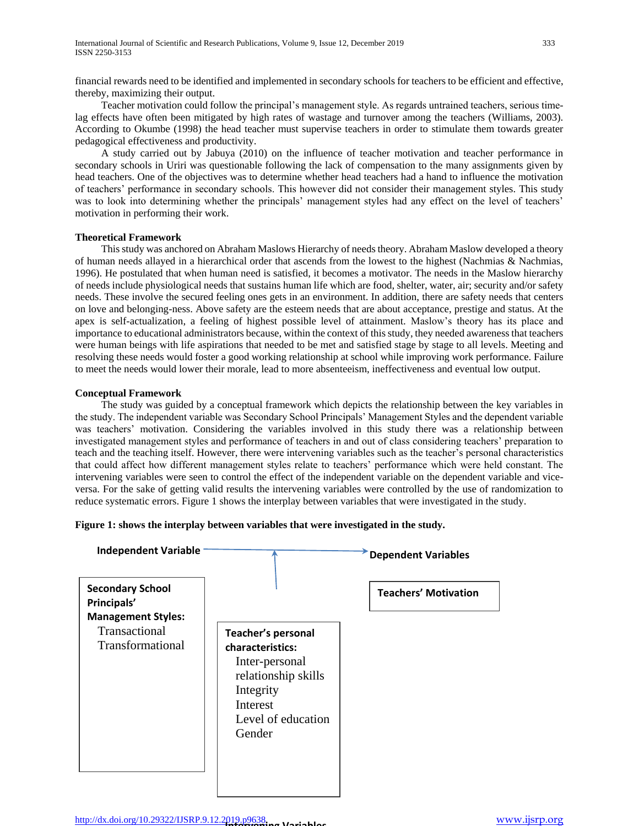financial rewards need to be identified and implemented in secondary schools for teachers to be efficient and effective, thereby, maximizing their output.

 Teacher motivation could follow the principal's management style. As regards untrained teachers, serious timelag effects have often been mitigated by high rates of wastage and turnover among the teachers (Williams, 2003). According to Okumbe (1998) the head teacher must supervise teachers in order to stimulate them towards greater pedagogical effectiveness and productivity.

 A study carried out by Jabuya (2010) on the influence of teacher motivation and teacher performance in secondary schools in Uriri was questionable following the lack of compensation to the many assignments given by head teachers. One of the objectives was to determine whether head teachers had a hand to influence the motivation of teachers' performance in secondary schools. This however did not consider their management styles. This study was to look into determining whether the principals' management styles had any effect on the level of teachers' motivation in performing their work.

# **Theoretical Framework**

 This study was anchored on Abraham Maslows Hierarchy of needs theory. Abraham Maslow developed a theory of human needs allayed in a hierarchical order that ascends from the lowest to the highest (Nachmias & Nachmias, 1996). He postulated that when human need is satisfied, it becomes a motivator. The needs in the Maslow hierarchy of needs include physiological needs that sustains human life which are food, shelter, water, air; security and/or safety needs. These involve the secured feeling ones gets in an environment. In addition, there are safety needs that centers on love and belonging-ness. Above safety are the esteem needs that are about acceptance, prestige and status. At the apex is self-actualization, a feeling of highest possible level of attainment. Maslow's theory has its place and importance to educational administrators because, within the context of this study, they needed awareness that teachers were human beings with life aspirations that needed to be met and satisfied stage by stage to all levels. Meeting and resolving these needs would foster a good working relationship at school while improving work performance. Failure to meet the needs would lower their morale, lead to more absenteeism, ineffectiveness and eventual low output.

# **Conceptual Framework**

 The study was guided by a conceptual framework which depicts the relationship between the key variables in the study. The independent variable was Secondary School Principals' Management Styles and the dependent variable was teachers' motivation. Considering the variables involved in this study there was a relationship between investigated management styles and performance of teachers in and out of class considering teachers' preparation to teach and the teaching itself. However, there were intervening variables such as the teacher's personal characteristics that could affect how different management styles relate to teachers' performance which were held constant. The intervening variables were seen to control the effect of the independent variable on the dependent variable and viceversa. For the sake of getting valid results the intervening variables were controlled by the use of randomization to reduce systematic errors. Figure 1 shows the interplay between variables that were investigated in the study.

**Figure 1: shows the interplay between variables that were investigated in the study.**

| <b>Independent Variable</b>                                         |                                                                                                                                                        | <b>Dependent Variables</b>  |
|---------------------------------------------------------------------|--------------------------------------------------------------------------------------------------------------------------------------------------------|-----------------------------|
| <b>Secondary School</b><br>Principals'<br><b>Management Styles:</b> |                                                                                                                                                        | <b>Teachers' Motivation</b> |
| Transactional<br>Transformational                                   | <b>Teacher's personal</b><br>characteristics:<br>Inter-personal<br>relationship skills<br>Integrity<br><b>Interest</b><br>Level of education<br>Gender |                             |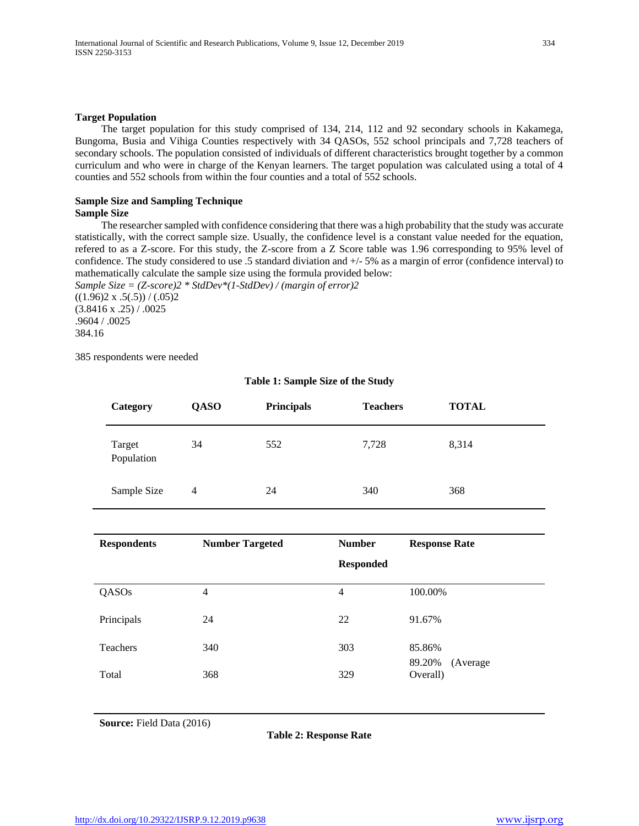#### **Target Population**

 The target population for this study comprised of 134, 214, 112 and 92 secondary schools in Kakamega, Bungoma, Busia and Vihiga Counties respectively with 34 QASOs, 552 school principals and 7,728 teachers of secondary schools. The population consisted of individuals of different characteristics brought together by a common curriculum and who were in charge of the Kenyan learners. The target population was calculated using a total of 4 counties and 552 schools from within the four counties and a total of 552 schools.

#### **Sample Size and Sampling Technique Sample Size**

 The researcher sampled with confidence considering that there was a high probability that the study was accurate statistically, with the correct sample size. Usually, the confidence level is a constant value needed for the equation, refered to as a Z-score. For this study, the Z-score from a Z Score table was 1.96 corresponding to 95% level of confidence. The study considered to use .5 standard diviation and +/- 5% as a margin of error (confidence interval) to mathematically calculate the sample size using the formula provided below:

*Sample Size = (Z-score)2 \* StdDev\*(1-StdDev) / (margin of error)2*  $((1.96)2 \times .5(.5)) / (.05)2$ (3.8416 x .25) / .0025 .9604 / .0025 384.16

385 respondents were needed

| Category             | <b>QASO</b>    | <b>Principals</b> | <b>Teachers</b> | <b>TOTAL</b> |
|----------------------|----------------|-------------------|-----------------|--------------|
| Target<br>Population | 34             | 552               | 7,728           | 8,314        |
| Sample Size          | $\overline{4}$ | 24                | 340             | 368          |

# **Table 1: Sample Size of the Study**

| <b>Respondents</b> | <b>Number Targeted</b> | <b>Number</b>    | <b>Response Rate</b>            |
|--------------------|------------------------|------------------|---------------------------------|
|                    |                        | <b>Responded</b> |                                 |
| QASOs              | 4                      | 4                | 100.00%                         |
| Principals         | 24                     | 22               | 91.67%                          |
| Teachers           | 340                    | 303              | 85.86%                          |
| Total              | 368                    | 329              | 89.20%<br>(Average)<br>Overall) |

**Source:** Field Data (2016)

**Table 2: Response Rate**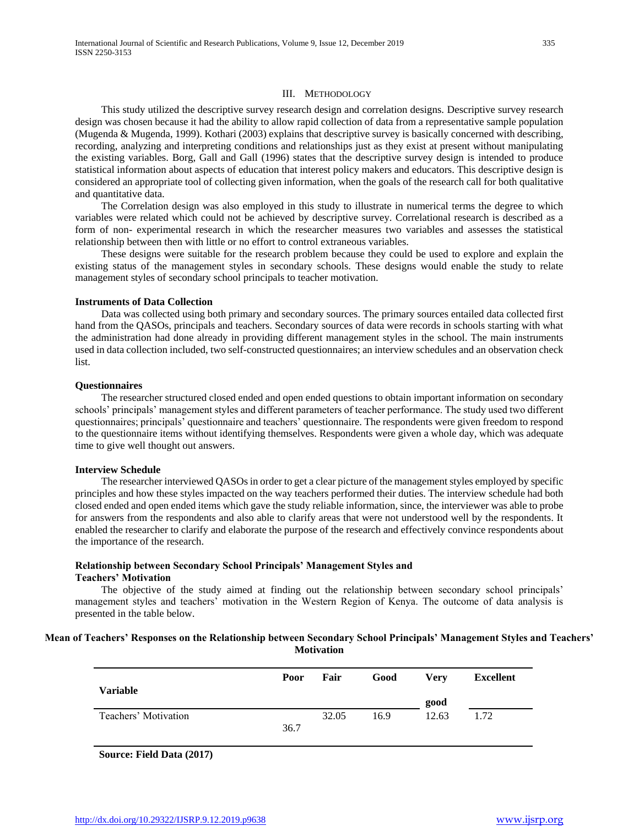#### III. METHODOLOGY

 This study utilized the descriptive survey research design and correlation designs. Descriptive survey research design was chosen because it had the ability to allow rapid collection of data from a representative sample population (Mugenda & Mugenda, 1999). Kothari (2003) explains that descriptive survey is basically concerned with describing, recording, analyzing and interpreting conditions and relationships just as they exist at present without manipulating the existing variables. Borg, Gall and Gall (1996) states that the descriptive survey design is intended to produce statistical information about aspects of education that interest policy makers and educators. This descriptive design is considered an appropriate tool of collecting given information, when the goals of the research call for both qualitative and quantitative data.

 The Correlation design was also employed in this study to illustrate in numerical terms the degree to which variables were related which could not be achieved by descriptive survey. Correlational research is described as a form of non- experimental research in which the researcher measures two variables and assesses the statistical relationship between then with little or no effort to control extraneous variables.

 These designs were suitable for the research problem because they could be used to explore and explain the existing status of the management styles in secondary schools. These designs would enable the study to relate management styles of secondary school principals to teacher motivation.

#### **Instruments of Data Collection**

 Data was collected using both primary and secondary sources. The primary sources entailed data collected first hand from the QASOs, principals and teachers. Secondary sources of data were records in schools starting with what the administration had done already in providing different management styles in the school. The main instruments used in data collection included, two self-constructed questionnaires; an interview schedules and an observation check list.

#### **Questionnaires**

 The researcher structured closed ended and open ended questions to obtain important information on secondary schools' principals' management styles and different parameters of teacher performance. The study used two different questionnaires; principals' questionnaire and teachers' questionnaire. The respondents were given freedom to respond to the questionnaire items without identifying themselves. Respondents were given a whole day, which was adequate time to give well thought out answers.

# **Interview Schedule**

 The researcher interviewed QASOs in order to get a clear picture of the management styles employed by specific principles and how these styles impacted on the way teachers performed their duties. The interview schedule had both closed ended and open ended items which gave the study reliable information, since, the interviewer was able to probe for answers from the respondents and also able to clarify areas that were not understood well by the respondents. It enabled the researcher to clarify and elaborate the purpose of the research and effectively convince respondents about the importance of the research.

# **Relationship between Secondary School Principals' Management Styles and Teachers' Motivation**

 The objective of the study aimed at finding out the relationship between secondary school principals' management styles and teachers' motivation in the Western Region of Kenya. The outcome of data analysis is presented in the table below.

# **Mean of Teachers' Responses on the Relationship between Secondary School Principals' Management Styles and Teachers' Motivation**

| Poor | Fair  | Good | Very  | <b>Excellent</b> |
|------|-------|------|-------|------------------|
|      |       |      | good  |                  |
|      | 32.05 | 16.9 | 12.63 | 1.72             |
| 36.7 |       |      |       |                  |
|      |       |      |       |                  |

**Source: Field Data (2017)**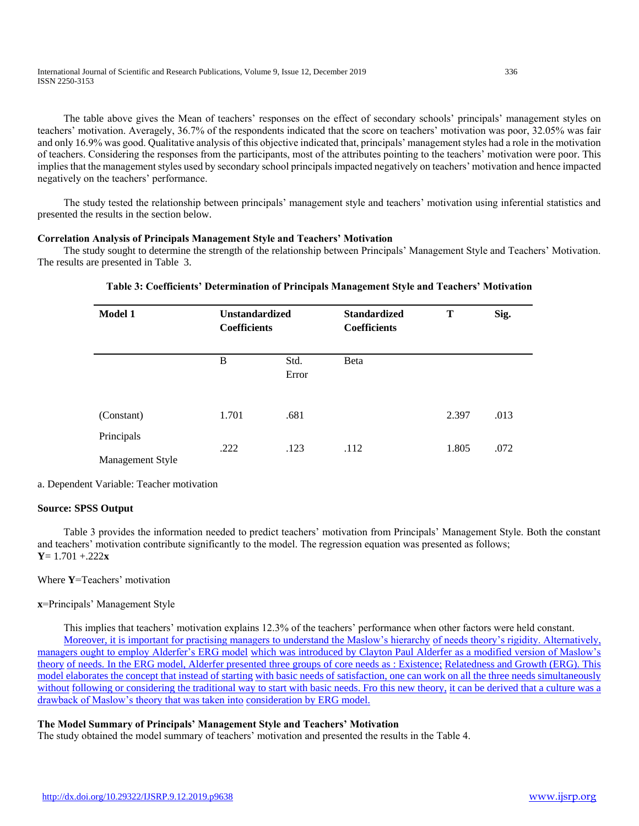International Journal of Scientific and Research Publications, Volume 9, Issue 12, December 2019 336 ISSN 2250-3153

 The table above gives the Mean of teachers' responses on the effect of secondary schools' principals' management styles on teachers' motivation. Averagely, 36.7% of the respondents indicated that the score on teachers' motivation was poor, 32.05% was fair and only 16.9% was good. Qualitative analysis of this objective indicated that, principals' management styles had a role in the motivation of teachers. Considering the responses from the participants, most of the attributes pointing to the teachers' motivation were poor. This implies that the management styles used by secondary school principals impacted negatively on teachers' motivation and hence impacted negatively on the teachers' performance.

 The study tested the relationship between principals' management style and teachers' motivation using inferential statistics and presented the results in the section below.

#### **Correlation Analysis of Principals Management Style and Teachers' Motivation**

 The study sought to determine the strength of the relationship between Principals' Management Style and Teachers' Motivation. The results are presented in Table 3.

| Model 1                        | <b>Unstandardized</b><br><b>Coefficients</b> |               | <b>Standardized</b><br><b>Coefficients</b> | Т     | Sig. |
|--------------------------------|----------------------------------------------|---------------|--------------------------------------------|-------|------|
|                                | B                                            | Std.<br>Error | Beta                                       |       |      |
| (Constant)                     | 1.701                                        | .681          |                                            | 2.397 | .013 |
| Principals<br>Management Style | .222                                         | .123          | .112                                       | 1.805 | .072 |

# **Table 3: Coefficients' Determination of Principals Management Style and Teachers' Motivation**

a. Dependent Variable: Teacher motivation

#### **Source: SPSS Output**

 Table 3 provides the information needed to predict teachers' motivation from Principals' Management Style. Both the constant and teachers' motivation contribute significantly to the model. The regression equation was presented as follows; **Y**= 1.701 +.222**x**

# Where **Y**=Teachers' motivation

# **x**=Principals' Management Style

 This implies that teachers' motivation explains 12.3% of the teachers' performance when other factors were held constant. [Moreover, it is important for practising managers to understand the Maslow's hierarchy](about:blank) [of needs theory's rigidity. Alternatively,](about:blank)  [managers ought to employ Alderfer's ERG model](about:blank) [which was introduced by Clayton Paul Alderfer](about:blank) as a modified version of Maslow's [theory](about:blank) [of needs. In the ERG model, Alderfer presented three groups of core needs as : Existence;](about:blank) [Relatedness and Growth \(ERG\). This](about:blank)  [model elaborates the concept that instead of starting](about:blank) [with basic needs of satisfaction, one can work on all the three needs simultaneously](about:blank)  [without](about:blank) [following or considering the traditional way to start with basic needs. Fro this new theory,](about:blank) it can be derived that a culture was a [drawback of Maslow's theory that was taken into](about:blank) [consideration by ERG model.](about:blank)

# **The Model Summary of Principals' Management Style and Teachers' Motivation**

The study obtained the model summary of teachers' motivation and presented the results in the Table 4.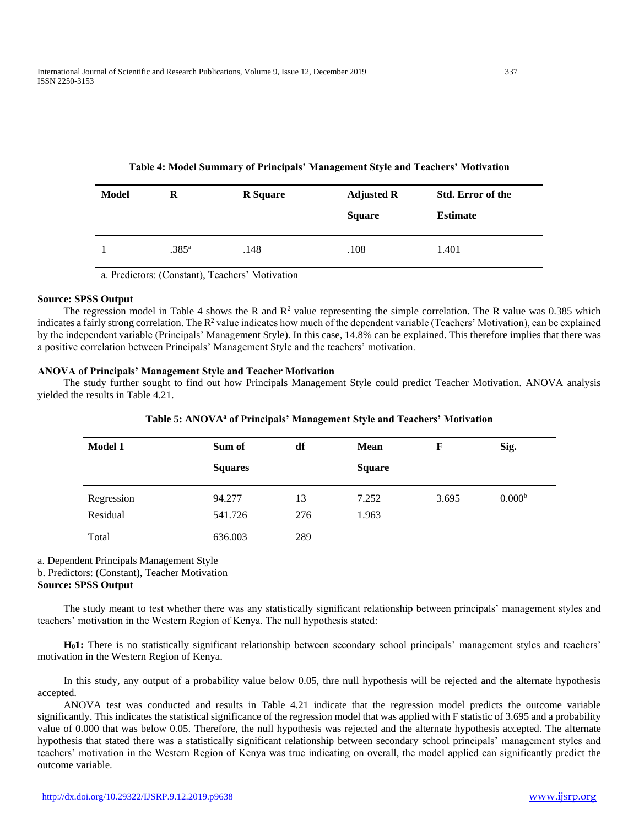| Model | R              | <b>R</b> Square | <b>Adjusted R</b><br><b>Square</b> | <b>Std. Error of the</b><br><b>Estimate</b> |
|-------|----------------|-----------------|------------------------------------|---------------------------------------------|
| 1     | $.385^{\rm a}$ | .148            | .108                               | 1.401                                       |

# **Table 4: Model Summary of Principals' Management Style and Teachers' Motivation**

a. Predictors: (Constant), Teachers' Motivation

#### **Source: SPSS Output**

The regression model in Table 4 shows the R and  $\mathbb{R}^2$  value representing the simple correlation. The R value was 0.385 which indicates a fairly strong correlation. The  $R^2$  value indicates how much of the dependent variable (Teachers' Motivation), can be explained by the independent variable (Principals' Management Style). In this case, 14.8% can be explained. This therefore implies that there was a positive correlation between Principals' Management Style and the teachers' motivation.

# **ANOVA of Principals' Management Style and Teacher Motivation**

 The study further sought to find out how Principals Management Style could predict Teacher Motivation. ANOVA analysis yielded the results in Table 4.21.

| <b>Model 1</b>         | Sum of            | df        | <b>Mean</b>    | F     | Sig.               |
|------------------------|-------------------|-----------|----------------|-------|--------------------|
|                        | <b>Squares</b>    |           | <b>Square</b>  |       |                    |
| Regression<br>Residual | 94.277<br>541.726 | 13<br>276 | 7.252<br>1.963 | 3.695 | 0.000 <sup>b</sup> |
| Total                  | 636.003           | 289       |                |       |                    |

**Table 5: ANOVA<sup>a</sup> of Principals' Management Style and Teachers' Motivation**

a. Dependent Principals Management Style

b. Predictors: (Constant), Teacher Motivation

# **Source: SPSS Output**

 The study meant to test whether there was any statistically significant relationship between principals' management styles and teachers' motivation in the Western Region of Kenya. The null hypothesis stated:

 **H01:** There is no statistically significant relationship between secondary school principals' management styles and teachers' motivation in the Western Region of Kenya.

 In this study, any output of a probability value below 0.05, thre null hypothesis will be rejected and the alternate hypothesis accepted.

 ANOVA test was conducted and results in Table 4.21 indicate that the regression model predicts the outcome variable significantly. This indicates the statistical significance of the regression model that was applied with F statistic of 3.695 and a probability value of 0.000 that was below 0.05. Therefore, the null hypothesis was rejected and the alternate hypothesis accepted. The alternate hypothesis that stated there was a statistically significant relationship between secondary school principals' management styles and teachers' motivation in the Western Region of Kenya was true indicating on overall, the model applied can significantly predict the outcome variable.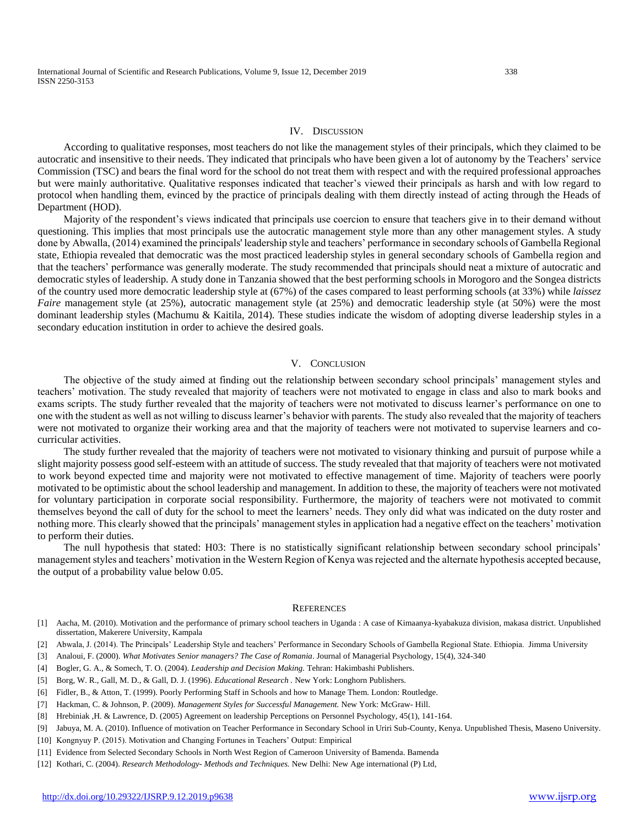#### IV. DISCUSSION

 According to qualitative responses, most teachers do not like the management styles of their principals, which they claimed to be autocratic and insensitive to their needs. They indicated that principals who have been given a lot of autonomy by the Teachers' service Commission (TSC) and bears the final word for the school do not treat them with respect and with the required professional approaches but were mainly authoritative. Qualitative responses indicated that teacher's viewed their principals as harsh and with low regard to protocol when handling them, evinced by the practice of principals dealing with them directly instead of acting through the Heads of Department (HOD).

 Majority of the respondent's views indicated that principals use coercion to ensure that teachers give in to their demand without questioning. This implies that most principals use the autocratic management style more than any other management styles. A study done by Abwalla, (2014) examined the principals' leadership style and teachers' performance in secondary schools of Gambella Regional state, Ethiopia revealed that democratic was the most practiced leadership styles in general secondary schools of Gambella region and that the teachers' performance was generally moderate. The study recommended that principals should neat a mixture of autocratic and democratic styles of leadership. A study done in Tanzania showed that the best performing schools in Morogoro and the Songea districts of the country used more democratic leadership style at (67%) of the cases compared to least performing schools (at 33%) while *laissez Faire* management style (at 25%), autocratic management style (at 25%) and democratic leadership style (at 50%) were the most dominant leadership styles (Machumu & Kaitila, 2014). These studies indicate the wisdom of adopting diverse leadership styles in a secondary education institution in order to achieve the desired goals.

# V. CONCLUSION

 The objective of the study aimed at finding out the relationship between secondary school principals' management styles and teachers' motivation. The study revealed that majority of teachers were not motivated to engage in class and also to mark books and exams scripts. The study further revealed that the majority of teachers were not motivated to discuss learner's performance on one to one with the student as well as not willing to discuss learner's behavior with parents. The study also revealed that the majority of teachers were not motivated to organize their working area and that the majority of teachers were not motivated to supervise learners and cocurricular activities.

 The study further revealed that the majority of teachers were not motivated to visionary thinking and pursuit of purpose while a slight majority possess good self-esteem with an attitude of success. The study revealed that that majority of teachers were not motivated to work beyond expected time and majority were not motivated to effective management of time. Majority of teachers were poorly motivated to be optimistic about the school leadership and management. In addition to these, the majority of teachers were not motivated for voluntary participation in corporate social responsibility. Furthermore, the majority of teachers were not motivated to commit themselves beyond the call of duty for the school to meet the learners' needs. They only did what was indicated on the duty roster and nothing more. This clearly showed that the principals' management styles in application had a negative effect on the teachers' motivation to perform their duties.

 The null hypothesis that stated: H03: There is no statistically significant relationship between secondary school principals' management styles and teachers' motivation in the Western Region of Kenya was rejected and the alternate hypothesis accepted because, the output of a probability value below 0.05.

#### **REFERENCES**

- [1] Aacha, M. (2010). Motivation and the performance of primary school teachers in Uganda : A case of Kimaanya-kyabakuza division, makasa district. Unpublished dissertation, Makerere University, Kampala
- [2] Abwala, J. (2014). The Principals' Leadership Style and teachers' Performance in Secondary Schools of Gambella Regional State. Ethiopia. Jimma University
- [3] Analoui, F. (2000). *What Motivates Senior managers? The Case of Romania*. Journal of Managerial Psychology, 15(4), 324-340
- [4] Bogler, G. A., & Somech, T. O. (2004). *Leadership and Decision Making.* Tehran: Hakimbashi Publishers.
- [5] Borg, W. R., Gall, M. D., & Gall, D. J. (1996). *Educational Research .* New York: Longhorn Publishers.
- [6] Fidler, B., & Atton, T. (1999). Poorly Performing Staff in Schools and how to Manage Them. London: Routledge.
- [7] Hackman, C. & Johnson, P. (2009). *Management Styles for Successful Management.* New York: McGraw- Hill.
- [8] Hrebiniak ,H. & Lawrence, D. (2005) Agreement on leadership Perceptions on Personnel Psychology, 45(1), 141-164.
- [9] Jabuya, M. A. (2010). Influence of motivation on Teacher Performance in Secondary School in Uriri Sub-County, Kenya. Unpublished Thesis, Maseno University.
- [10] Kongnyuy P. (2015). Motivation and Changing Fortunes in Teachers' Output: Empirical
- [11] Evidence from Selected Secondary Schools in North West Region of Cameroon University of Bamenda. Bamenda
- [12] Kothari, C. (2004). *Research Methodology- Methods and Techniques.* New Delhi: New Age international (P) Ltd,